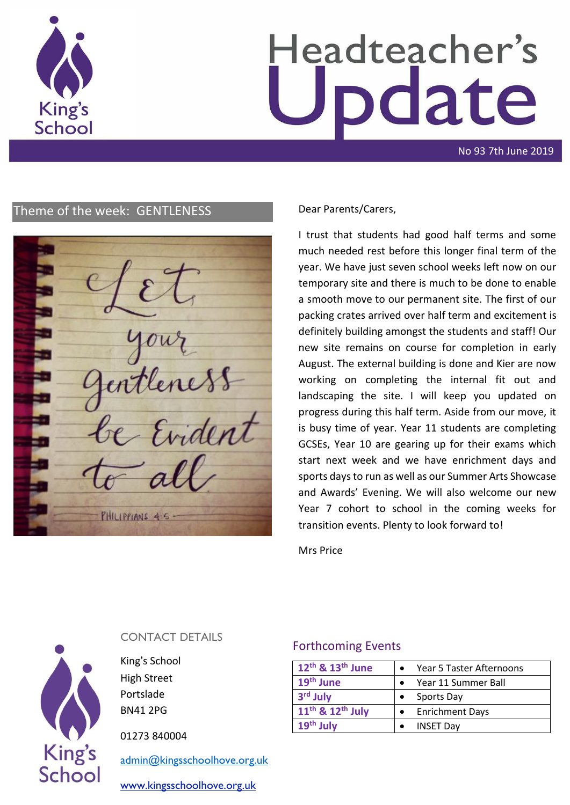

# Headteacher's date

No 93 7th June 2019

# Theme of the week: GENTLENESS Dear Parents/Carers,

Evident PHILIPPIANS 4-5-

I trust that students had good half terms and some much needed rest before this longer final term of the year. We have just seven school weeks left now on our temporary site and there is much to be done to enable a smooth move to our permanent site. The first of our packing crates arrived over half term and excitement is definitely building amongst the students and staff! Our new site remains on course for completion in early August. The external building is done and Kier are now working on completing the internal fit out and landscaping the site. I will keep you updated on progress during this half term. Aside from our move, it is busy time of year. Year 11 students are completing GCSEs, Year 10 are gearing up for their exams which start next week and we have enrichment days and sports days to run as well as our Summer Arts Showcase and Awards' Evening. We will also welcome our new Year 7 cohort to school in the coming weeks for transition events. Plenty to look forward to!

Mrs Price



# CONTACT DETAILS

King's School High Street Portslade BN41 2PG

01273 840004

[admin@kingsschoolhove.org.uk](mailto:admin@kingsschoolhove.org.uk)

[www.kingsschoolhove.org.uk](http://www.kingsschoolhove.org.uk/)

# Forthcoming Events

| 12 <sup>th</sup> & 13 <sup>th</sup> June | Year 5 Taster Afternoons |
|------------------------------------------|--------------------------|
| 19 <sup>th</sup> June                    | Year 11 Summer Ball      |
| 3 <sup>rd</sup> July                     | Sports Day               |
| 11 <sup>th</sup> & 12 <sup>th</sup> July | <b>Enrichment Days</b>   |
| $19th$ July                              | <b>INSET Day</b>         |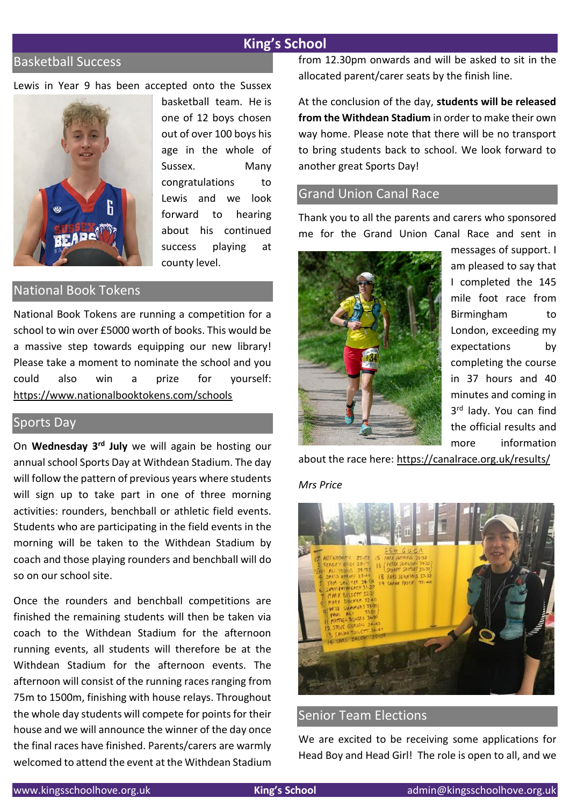# **King's School**

# Basketball Success

Lewis in Year 9 has been accepted onto the Sussex



basketball team. He is one of 12 boys chosen out of over 100 boys his age in the whole of Sussex. Many congratulations to Lewis and we look forward to hearing about his continued success playing at county level.

# National Book Tokens

National Book Tokens are running a competition for a school to win over £5000 worth of books. This would be a massive step towards equipping our new library! Please take a moment to nominate the school and you could also win a prize for yourself: <https://www.nationalbooktokens.com/schools>

# Sports Day

On **Wednesday 3rd July** we will again be hosting our annual school Sports Day at Withdean Stadium. The day will follow the pattern of previous years where students will sign up to take part in one of three morning activities: rounders, benchball or athletic field events. Students who are participating in the field events in the morning will be taken to the Withdean Stadium by coach and those playing rounders and benchball will do so on our school site.

Once the rounders and benchball competitions are finished the remaining students will then be taken via coach to the Withdean Stadium for the afternoon running events, all students will therefore be at the Withdean Stadium for the afternoon events. The afternoon will consist of the running races ranging from 75m to 1500m, finishing with house relays. Throughout the whole day students will compete for points for their house and we will announce the winner of the day once the final races have finished. Parents/carers are warmly welcomed to attend the event at the Withdean Stadium from 12.30pm onwards and will be asked to sit in the allocated parent/carer seats by the finish line.

At the conclusion of the day, **students will be released from the Withdean Stadium** in order to make their own way home. Please note that there will be no transport to bring students back to school. We look forward to another great Sports Day!

# Grand Union Canal Race

Thank you to all the parents and carers who sponsored me for the Grand Union Canal Race and sent in



messages of support. I am pleased to say that I completed the 145 mile foot race from Birmingham to London, exceeding my expectations by completing the course in 37 hours and 40 minutes and coming in 3<sup>rd</sup> lady. You can find the official results and more information

about the race here:<https://canalrace.org.uk/results/>

#### *Mrs Price*



# Senior Team Elections

We are excited to be receiving some applications for Head Boy and Head Girl! The role is open to all, and we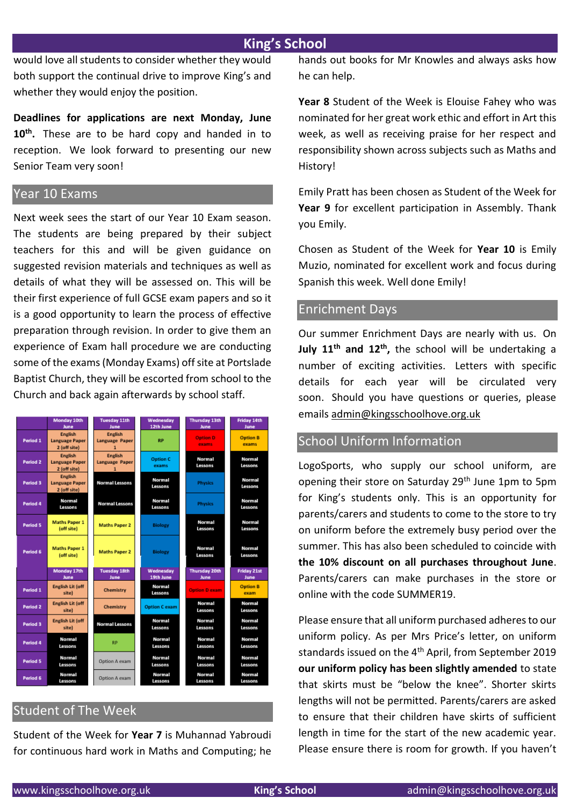# **King's School**

would love all students to consider whether they would both support the continual drive to improve King's and whether they would enjoy the position.

**Deadlines for applications are next Monday, June 10th .** These are to be hard copy and handed in to reception. We look forward to presenting our new Senior Team very soon!

# Year 10 Exams

Next week sees the start of our Year 10 Exam season. The students are being prepared by their subject teachers for this and will be given guidance on suggested revision materials and techniques as well as details of what they will be assessed on. This will be their first experience of full GCSE exam papers and so it is a good opportunity to learn the process of effective preparation through revision. In order to give them an experience of Exam hall procedure we are conducting some of the exams (Monday Exams) off site at Portslade Baptist Church, they will be escorted from school to the Church and back again afterwards by school staff.



# Student of The Week

Student of the Week for **Year 7** is Muhannad Yabroudi for continuous hard work in Maths and Computing; he hands out books for Mr Knowles and always asks how he can help.

**Year 8** Student of the Week is Elouise Fahey who was nominated for her great work ethic and effort in Art this week, as well as receiving praise for her respect and responsibility shown across subjects such as Maths and History!

Emily Pratt has been chosen as Student of the Week for **Year 9** for excellent participation in Assembly. Thank you Emily.

Chosen as Student of the Week for **Year 10** is Emily Muzio, nominated for excellent work and focus during Spanish this week. Well done Emily!

## Enrichment Days

Our summer Enrichment Days are nearly with us. On **July 11th and 12th ,** the school will be undertaking a number of exciting activities. Letters with specific details for each year will be circulated very soon. Should you have questions or queries, please emails [admin@kingsschoolhove.org.uk](mailto:admin@kingsschoolhove.org.uk)

# School Uniform Information

LogoSports, who supply our school uniform, are opening their store on Saturday 29<sup>th</sup> June 1pm to 5pm for King's students only. This is an opportunity for parents/carers and students to come to the store to try on uniform before the extremely busy period over the summer. This has also been scheduled to coincide with **the 10% discount on all purchases throughout June**. Parents/carers can make purchases in the store or online with the code SUMMER19.

Please ensure that all uniform purchased adheres to our uniform policy. As per Mrs Price's letter, on uniform standards issued on the 4<sup>th</sup> April, from September 2019 **our uniform policy has been slightly amended** to state that skirts must be "below the knee". Shorter skirts lengths will not be permitted. Parents/carers are asked to ensure that their children have skirts of sufficient length in time for the start of the new academic year. Please ensure there is room for growth. If you haven't